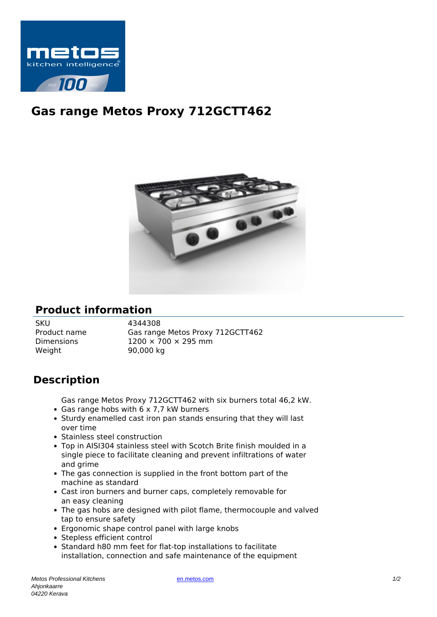

## **Gas range Metos Proxy 712GCTT462**



## **Product information**

SKU 4344308 Weight 90,000 kg

Product name Gas range Metos Proxy 712GCTT462 Dimensions  $1200 \times 700 \times 295$  mm

## **Description**

Gas range Metos Proxy 712GCTT462 with six burners total 46,2 kW. • Gas range hobs with 6 x 7,7 kW burners

- Sturdy enamelled cast iron pan stands ensuring that they will last over time
- Stainless steel construction
- Top in AISI304 stainless steel with Scotch Brite finish moulded in a single piece to facilitate cleaning and prevent infiltrations of water and grime
- The gas connection is supplied in the front bottom part of the machine as standard
- Cast iron burners and burner caps, completely removable for an easy cleaning
- The gas hobs are designed with pilot flame, thermocouple and valved tap to ensure safety
- Ergonomic shape control panel with large knobs
- Stepless efficient control
- Standard h80 mm feet for flat-top installations to facilitate installation, connection and safe maintenance of the equipment